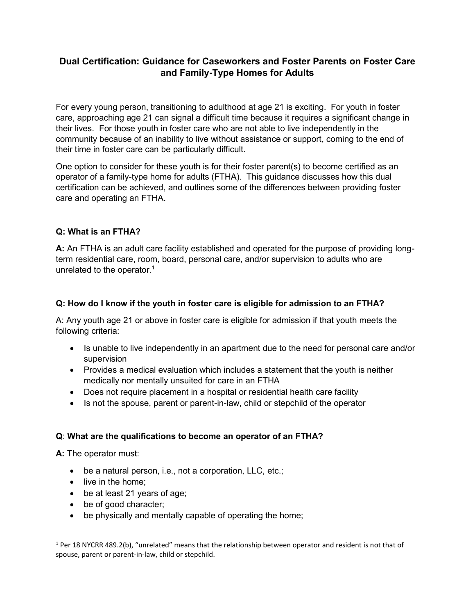# **Dual Certification: Guidance for Caseworkers and Foster Parents on Foster Care and Family-Type Homes for Adults**

For every young person, transitioning to adulthood at age 21 is exciting. For youth in foster care, approaching age 21 can signal a difficult time because it requires a significant change in their lives. For those youth in foster care who are not able to live independently in the community because of an inability to live without assistance or support, coming to the end of their time in foster care can be particularly difficult.

One option to consider for these youth is for their foster parent(s) to become certified as an operator of a family-type home for adults (FTHA). This guidance discusses how this dual certification can be achieved, and outlines some of the differences between providing foster care and operating an FTHA.

## **Q: What is an FTHA?**

**A:** An FTHA is an adult care facility established and operated for the purpose of providing longterm residential care, room, board, personal care, and/or supervision to adults who are unrelated to the operator. 1

### **Q: How do I know if the youth in foster care is eligible for admission to an FTHA?**

A: Any youth age 21 or above in foster care is eligible for admission if that youth meets the following criteria:

- Is unable to live independently in an apartment due to the need for personal care and/or supervision
- Provides a medical evaluation which includes a statement that the youth is neither medically nor mentally unsuited for care in an FTHA
- Does not require placement in a hospital or residential health care facility
- Is not the spouse, parent or parent-in-law, child or stepchild of the operator

#### **Q**: **What are the qualifications to become an operator of an FTHA?**

**A:** The operator must:

 $\overline{\phantom{a}}$ 

- be a natural person, i.e., not a corporation, LLC, etc.;
- live in the home;
- be at least 21 years of age;
- be of good character;
- be physically and mentally capable of operating the home;

<sup>1</sup> Per 18 NYCRR 489.2(b), "unrelated" means that the relationship between operator and resident is not that of spouse, parent or parent-in-law, child or stepchild.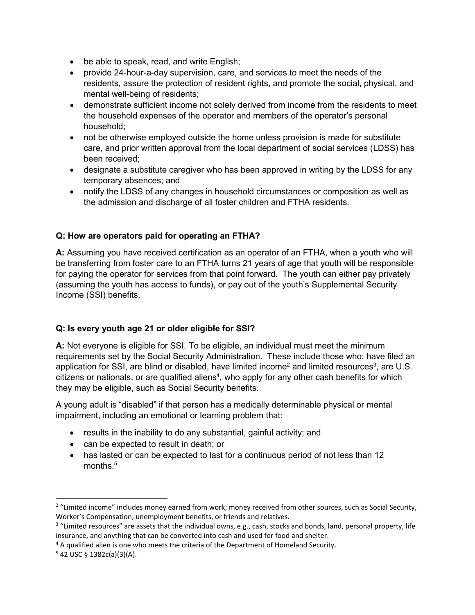- be able to speak, read, and write English;
- provide 24-hour-a-day supervision, care, and services to meet the needs of the residents, assure the protection of resident rights, and promote the social, physical, and mental well-being of residents;
- demonstrate sufficient income not solely derived from income from the residents to meet the household expenses of the operator and members of the operator's personal household;
- not be otherwise employed outside the home unless provision is made for substitute care, and prior written approval from the local department of social services (LDSS) has been received;
- designate a substitute caregiver who has been approved in writing by the LDSS for any temporary absences; and
- notify the LDSS of any changes in household circumstances or composition as well as the admission and discharge of all foster children and FTHA residents.

## **Q: How are operators paid for operating an FTHA?**

**A:** Assuming you have received certification as an operator of an FTHA, when a youth who will be transferring from foster care to an FTHA turns 21 years of age that youth will be responsible for paying the operator for services from that point forward. The youth can either pay privately (assuming the youth has access to funds), or pay out of the youth's Supplemental Security Income (SSI) benefits.

## **Q: Is every youth age 21 or older eligible for SSI?**

**A:** Not everyone is eligible for SSI. To be eligible, an individual must meet the minimum requirements set by the Social Security Administration. These include those who: have filed an application for SSI, are blind or disabled, have limited income<sup>2</sup> and limited resources<sup>3</sup>, are U.S. citizens or nationals, or are qualified aliens<sup>4</sup>, who apply for any other cash benefits for which they may be eligible, such as Social Security benefits.

A young adult is "disabled" if that person has a medically determinable physical or mental impairment, including an emotional or learning problem that:

- results in the inability to do any substantial, gainful activity; and
- can be expected to result in death; or
- has lasted or can be expected to last for a continuous period of not less than 12 months.<sup>5</sup>

l

<sup>2</sup> "Limited income" includes money earned from work; money received from other sources, such as Social Security, Worker's Compensation, unemployment benefits, or friends and relatives.

 $3$  "Limited resources" are assets that the individual owns, e.g., cash, stocks and bonds, land, personal property, life insurance, and anything that can be converted into cash and used for food and shelter.

<sup>&</sup>lt;sup>4</sup> A qualified alien is one who meets the criteria of the Department of Homeland Security.

 $5$  42 USC § 1382c(a)(3)(A).